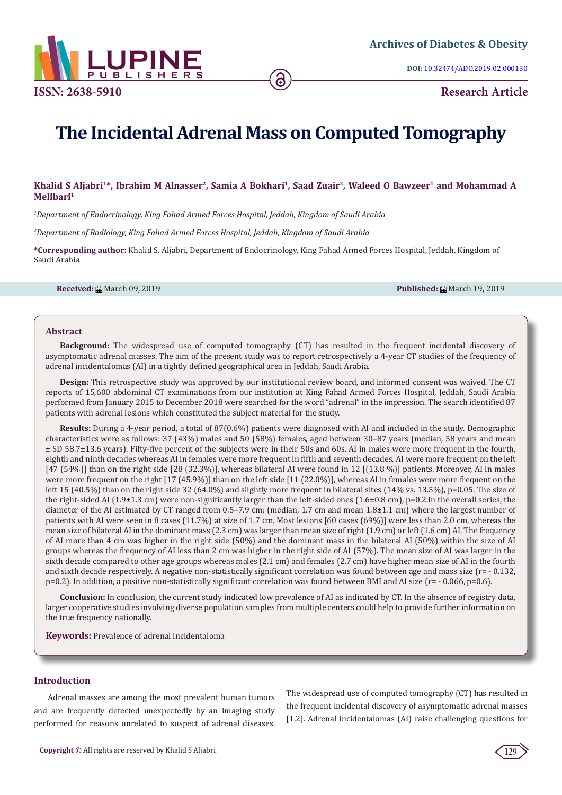

**DOI:** [10.32474/ADO.2019.02.000130](http://dx.doi.org/10.32474/ADO.2019.02.000130)

# **The Incidental Adrenal Mass on Computed Tomography**

## Khalid S Aljabri<sup>1\*</sup>, Ibrahim M Alnasser<sup>2</sup>, Samia A Bokhari<sup>1</sup>, Saad Zuair<sup>2</sup>, Waleed O Bawzeer<sup>1</sup> and Mohammad A **Melibari1**

*1 Department of Endocrinology, King Fahad Armed Forces Hospital, Jeddah, Kingdom of Saudi Arabia* 

*2 Department of Radiology, King Fahad Armed Forces Hospital, Jeddah, Kingdom of Saudi Arabia*

**\*Corresponding author:** Khalid S. Aljabri, Department of Endocrinology, King Fahad Armed Forces Hospital, Jeddah, Kingdom of Saudi Arabia

**Received:** March 09, 2019 **Published:** March 19, 2019

## **Abstract**

**Background:** The widespread use of computed tomography (CT) has resulted in the frequent incidental discovery of asymptomatic adrenal masses. The aim of the present study was to report retrospectively a 4-year CT studies of the frequency of adrenal incidentalomas (AI) in a tightly defined geographical area in Jeddah, Saudi Arabia.

**Design:** This retrospective study was approved by our institutional review board, and informed consent was waived. The CT reports of 15,600 abdominal CT examinations from our institution at King Fahad Armed Forces Hospital, Jeddah, Saudi Arabia performed from January 2015 to December 2018 were searched for the word "adrenal" in the impression. The search identified 87 patients with adrenal lesions which constituted the subject material for the study.

**Results:** During a 4-year period, a total of 87(0.6%) patients were diagnosed with AI and included in the study. Demographic characteristics were as follows: 37 (43%) males and 50 (58%) females, aged between 30–87 years (median, 58 years and mean ± SD 58.7±13.6 years). Fifty-five percent of the subjects were in their 50s and 60s. AI in males were more frequent in the fourth, eighth and ninth decades whereas AI in females were more frequent in fifth and seventh decades. AI were more frequent on the left [47 (54%)] than on the right side [28 (32.3%)], whereas bilateral AI were found in 12 [(13.8 %)] patients. Moreover, AI in males were more frequent on the right [17 (45.9%)] than on the left side [11 (22.0%)], whereas AI in females were more frequent on the left 15 (40.5%) than on the right side 32 (64.0%) and slightly more frequent in bilateral sites (14% vs. 13.5%), p=0.05. The size of the right-sided AI (1.9±1.3 cm) were non-significantly larger than the left-sided ones (1.6±0.8 cm), p=0.2.In the overall series, the diameter of the AI estimated by CT ranged from 0.5–7.9 cm; (median, 1.7 cm and mean 1.8±1.1 cm) where the largest number of patients with AI were seen in 8 cases (11.7%) at size of 1.7 cm. Most lesions [60 cases (69%)] were less than 2.0 cm, whereas the mean size of bilateral AI in the dominant mass (2.3 cm) was larger than mean size of right (1.9 cm) or left (1.6 cm) AI. The frequency of AI more than 4 cm was higher in the right side (50%) and the dominant mass in the bilateral AI (50%) within the size of AI groups whereas the frequency of AI less than 2 cm was higher in the right side of AI (57%). The mean size of AI was larger in the sixth decade compared to other age groups whereas males (2.1 cm) and females (2.7 cm) have higher mean size of AI in the fourth and sixth decade respectively. A negative non-statistically significant correlation was found between age and mass size (r= - 0.132, p=0.2). In addition, a positive non-statistically significant correlation was found between BMI and AI size (r= - 0.066, p=0.6).

**Conclusion:** In conclusion, the current study indicated low prevalence of AI as indicated by CT. In the absence of registry data, larger cooperative studies involving diverse population samples from multiple centers could help to provide further information on the true frequency nationally.

**Keywords:** Prevalence of adrenal incidentaloma

## **Introduction**

Adrenal masses are among the most prevalent human tumors and are frequently detected unexpectedly by an imaging study performed for reasons unrelated to suspect of adrenal diseases.

The widespread use of computed tomography (CT) has resulted in the frequent incidental discovery of asymptomatic adrenal masses [1,2]. Adrenal incidentalomas (AI) raise challenging questions for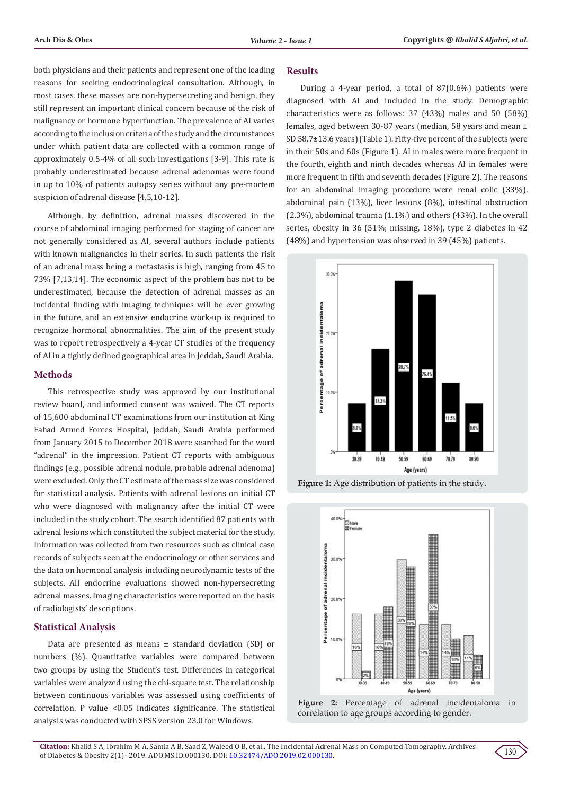both physicians and their patients and represent one of the leading reasons for seeking endocrinological consultation. Although, in most cases, these masses are non-hypersecreting and benign, they still represent an important clinical concern because of the risk of malignancy or hormone hyperfunction. The prevalence of AI varies according to the inclusion criteria of the study and the circumstances under which patient data are collected with a common range of approximately 0.5-4% of all such investigations [3-9]. This rate is probably underestimated because adrenal adenomas were found in up to 10% of patients autopsy series without any pre-mortem suspicion of adrenal disease [4,5,10-12].

Although, by definition, adrenal masses discovered in the course of abdominal imaging performed for staging of cancer are not generally considered as AI, several authors include patients with known malignancies in their series. In such patients the risk of an adrenal mass being a metastasis is high, ranging from 45 to 73% [7,13,14]. The economic aspect of the problem has not to be underestimated, because the detection of adrenal masses as an incidental finding with imaging techniques will be ever growing in the future, and an extensive endocrine work-up is required to recognize hormonal abnormalities. The aim of the present study was to report retrospectively a 4-year CT studies of the frequency of AI in a tightly defined geographical area in Jeddah, Saudi Arabia.

## **Methods**

This retrospective study was approved by our institutional review board, and informed consent was waived. The CT reports of 15,600 abdominal CT examinations from our institution at King Fahad Armed Forces Hospital, Jeddah, Saudi Arabia performed from January 2015 to December 2018 were searched for the word "adrenal" in the impression. Patient CT reports with ambiguous findings (e.g., possible adrenal nodule, probable adrenal adenoma) were excluded. Only the CT estimate of the mass size was considered for statistical analysis. Patients with adrenal lesions on initial CT who were diagnosed with malignancy after the initial CT were included in the study cohort. The search identified 87 patients with adrenal lesions which constituted the subject material for the study. Information was collected from two resources such as clinical case records of subjects seen at the endocrinology or other services and the data on hormonal analysis including neurodynamic tests of the subjects. All endocrine evaluations showed non-hypersecreting adrenal masses. Imaging characteristics were reported on the basis of radiologists' descriptions.

## **Statistical Analysis**

Data are presented as means ± standard deviation (SD) or numbers (%). Quantitative variables were compared between two groups by using the Student's test. Differences in categorical variables were analyzed using the chi-square test. The relationship between continuous variables was assessed using coefficients of correlation. P value <0.05 indicates significance. The statistical analysis was conducted with SPSS version 23.0 for Windows.

## **Results**

During a 4-year period, a total of 87(0.6%) patients were diagnosed with AI and included in the study. Demographic characteristics were as follows: 37 (43%) males and 50 (58%) females, aged between 30-87 years (median, 58 years and mean ± SD 58.7±13.6 years) (Table 1). Fifty-five percent of the subjects were in their 50s and 60s (Figure 1). AI in males were more frequent in the fourth, eighth and ninth decades whereas AI in females were more frequent in fifth and seventh decades (Figure 2). The reasons for an abdominal imaging procedure were renal colic (33%), abdominal pain (13%), liver lesions (8%), intestinal obstruction (2.3%), abdominal trauma (1.1%) and others (43%). In the overall series, obesity in 36 (51%; missing, 18%), type 2 diabetes in 42 (48%) and hypertension was observed in 39 (45%) patients.



**Figure 1:** Age distribution of patients in the study.





130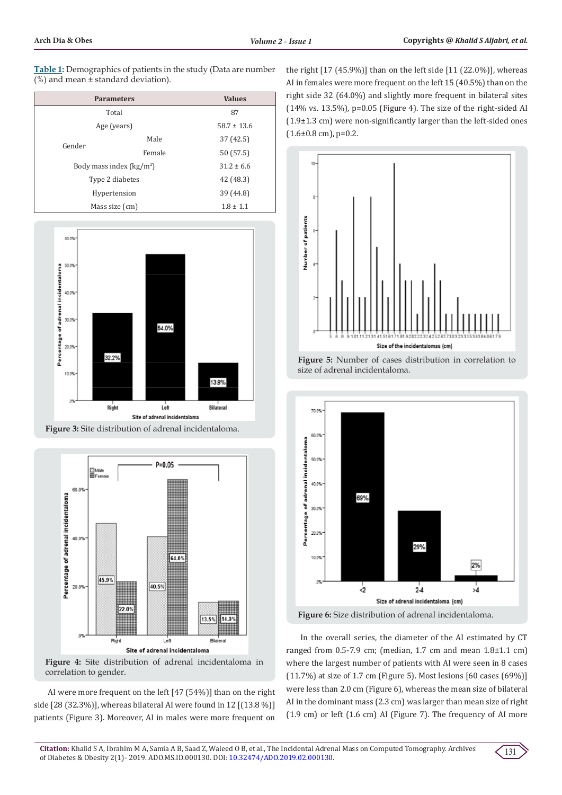**Table 1:** Demographics of patients in the study (Data are number  $(%)$  and mean  $±$  standard deviation).

| <b>Parameters</b>         |        | <b>Values</b>   |
|---------------------------|--------|-----------------|
| Total                     |        | 87              |
| Age (years)               |        | $58.7 \pm 13.6$ |
| Gender                    | Male   | 37 (42.5)       |
|                           | Female | 50 (57.5)       |
| Body mass index $(kg/m2)$ |        | $31.2 \pm 6.6$  |
| Type 2 diabetes           |        | 42 (48.3)       |
| Hypertension              |        | 39 (44.8)       |
| Mass size (cm)            |        | $1.8 \pm 1.1$   |



**Figure 3:** Site distribution of adrenal incidentaloma.



**Figure 4:** Site distribution of adrenal incidentaloma in correlation to gender.

AI were more frequent on the left [47 (54%)] than on the right side [28 (32.3%)], whereas bilateral AI were found in 12 [(13.8 %)] patients (Figure 3). Moreover, AI in males were more frequent on the right [17 (45.9%)] than on the left side [11 (22.0%)], whereas AI in females were more frequent on the left 15 (40.5%) than on the right side 32 (64.0%) and slightly more frequent in bilateral sites (14% vs. 13.5%), p=0.05 (Figure 4). The size of the right-sided AI (1.9±1.3 cm) were non-significantly larger than the left-sided ones  $(1.6\pm0.8$  cm), p=0.2.







In the overall series, the diameter of the AI estimated by CT ranged from  $0.5$ -7.9 cm; (median, 1.7 cm and mean  $1.8\pm1.1$  cm) where the largest number of patients with AI were seen in 8 cases (11.7%) at size of 1.7 cm (Figure 5). Most lesions [60 cases (69%)] were less than 2.0 cm (Figure 6), whereas the mean size of bilateral AI in the dominant mass (2.3 cm) was larger than mean size of right (1.9 cm) or left (1.6 cm) AI (Figure 7). The frequency of AI more

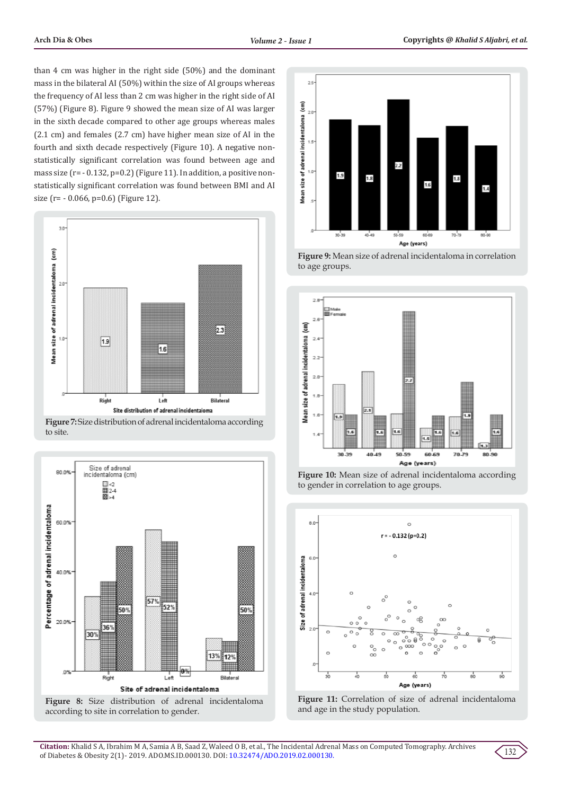than 4 cm was higher in the right side (50%) and the dominant mass in the bilateral AI (50%) within the size of AI groups whereas the frequency of AI less than 2 cm was higher in the right side of AI (57%) (Figure 8). Figure 9 showed the mean size of AI was larger in the sixth decade compared to other age groups whereas males (2.1 cm) and females (2.7 cm) have higher mean size of AI in the fourth and sixth decade respectively (Figure 10). A negative nonstatistically significant correlation was found between age and mass size (r= - 0.132, p=0.2) (Figure 11). In addition, a positive nonstatistically significant correlation was found between BMI and AI size (r= - 0.066, p=0.6) (Figure 12).



**Figure 7:** Size distribution of adrenal incidentaloma according to site.



**Figure 8:** Size distribution of adrenal incidentaloma according to site in correlation to gender.







**Figure 10:** Mean size of adrenal incidentaloma according to gender in correlation to age groups.





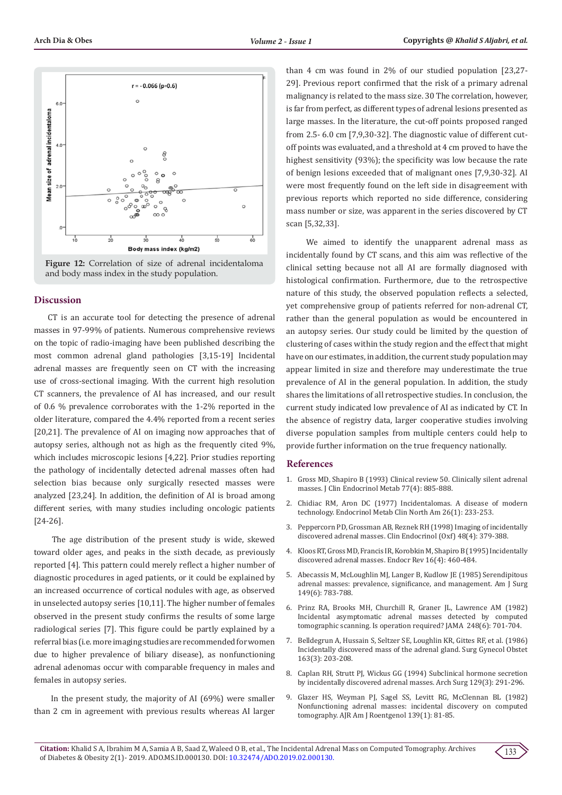



## **Discussion**

CT is an accurate tool for detecting the presence of adrenal masses in 97-99% of patients. Numerous comprehensive reviews on the topic of radio-imaging have been published describing the most common adrenal gland pathologies [3,15-19] Incidental adrenal masses are frequently seen on CT with the increasing use of cross-sectional imaging. With the current high resolution CT scanners, the prevalence of AI has increased, and our result of 0.6 % prevalence corroborates with the 1-2% reported in the older literature, compared the 4.4% reported from a recent series [20,21]. The prevalence of AI on imaging now approaches that of autopsy series, although not as high as the frequently cited 9%, which includes microscopic lesions [4,22]. Prior studies reporting the pathology of incidentally detected adrenal masses often had selection bias because only surgically resected masses were analyzed [23,24]. In addition, the definition of AI is broad among different series, with many studies including oncologic patients [24-26].

 The age distribution of the present study is wide, skewed toward older ages, and peaks in the sixth decade, as previously reported [4]. This pattern could merely reflect a higher number of diagnostic procedures in aged patients, or it could be explained by an increased occurrence of cortical nodules with age, as observed in unselected autopsy series [10,11]. The higher number of females observed in the present study confirms the results of some large radiological series [7]. This figure could be partly explained by a referral bias (i.e. more imaging studies are recommended for women due to higher prevalence of biliary disease), as nonfunctioning adrenal adenomas occur with comparable frequency in males and females in autopsy series.

 In the present study, the majority of AI (69%) were smaller than 2 cm in agreement with previous results whereas AI larger

than 4 cm was found in 2% of our studied population [23,27- 29]. Previous report confirmed that the risk of a primary adrenal malignancy is related to the mass size. 30 The correlation, however, is far from perfect, as different types of adrenal lesions presented as large masses. In the literature, the cut-off points proposed ranged from 2.5- 6.0 cm [7,9,30-32]. The diagnostic value of different cutoff points was evaluated, and a threshold at 4 cm proved to have the highest sensitivity (93%); the specificity was low because the rate of benign lesions exceeded that of malignant ones [7,9,30-32]. AI were most frequently found on the left side in disagreement with previous reports which reported no side difference, considering mass number or size, was apparent in the series discovered by CT scan [5,32,33].

 We aimed to identify the unapparent adrenal mass as incidentally found by CT scans, and this aim was reflective of the clinical setting because not all AI are formally diagnosed with histological confirmation. Furthermore, due to the retrospective nature of this study, the observed population reflects a selected, yet comprehensive group of patients referred for non-adrenal CT, rather than the general population as would be encountered in an autopsy series. Our study could be limited by the question of clustering of cases within the study region and the effect that might have on our estimates, in addition, the current study population may appear limited in size and therefore may underestimate the true prevalence of AI in the general population. In addition, the study shares the limitations of all retrospective studies. In conclusion, the current study indicated low prevalence of AI as indicated by CT. In the absence of registry data, larger cooperative studies involving diverse population samples from multiple centers could help to provide further information on the true frequency nationally.

## **References**

- 1. [Gross MD, Shapiro B \(1993\) Clinical review 50. Clinically silent adrenal](https://www.ncbi.nlm.nih.gov/pubmed/8408461) [masses. J Clin Endocrinol Metab 77\(4\): 885-888.](https://www.ncbi.nlm.nih.gov/pubmed/8408461)
- 2. [Chidiac RM, Aron DC \(1977\) Incidentalomas. A disease of modern](https://www.ncbi.nlm.nih.gov/pubmed/9074861) [technology. Endocrinol Metab Clin North Am 26\(1\): 233-253.](https://www.ncbi.nlm.nih.gov/pubmed/9074861)
- 3. [Peppercorn PD, Grossman AB, Reznek RH \(1998\) Imaging of incidentally](https://onlinelibrary.wiley.com/doi/full/10.1046/j.1365-2265.1998.00475.x) [discovered adrenal masses. Clin Endocrinol \(Oxf\) 48\(4\): 379-388.](https://onlinelibrary.wiley.com/doi/full/10.1046/j.1365-2265.1998.00475.x)
- 4. [Kloos RT, Gross MD, Francis IR, Korobkin M, Shapiro B \(1995\) Incidentally](https://www.ncbi.nlm.nih.gov/pubmed/8521790) [discovered adrenal masses. Endocr Rev 16\(4\): 460-484.](https://www.ncbi.nlm.nih.gov/pubmed/8521790)
- 5. [Abecassis M, McLoughlin MJ, Langer B, Kudlow JE \(1985\) Serendipitous](https://www.ncbi.nlm.nih.gov/pubmed/4014556) [adrenal masses: prevalence, significance, and management. Am J Surg](https://www.ncbi.nlm.nih.gov/pubmed/4014556) [149\(6\): 783-788.](https://www.ncbi.nlm.nih.gov/pubmed/4014556)
- 6. [Prinz RA, Brooks MH, Churchill R, Graner JL, Lawrence AM \(1982\)](https://jamanetwork.com/journals/jama/article-abstract/376498) [Incidental asymptomatic adrenal masses detected by computed](https://jamanetwork.com/journals/jama/article-abstract/376498) [tomographic scanning. Is operation required? JAMA 248\(6\): 701-704.](https://jamanetwork.com/journals/jama/article-abstract/376498)
- 7. [Belldegrun A, Hussain S, Seltzer SE, Loughlin KR, Gittes RF, et al. \(1986\)](https://www.ncbi.nlm.nih.gov/pubmed/3750174) [Incidentally discovered mass of the adrenal gland. Surg Gynecol Obstet](https://www.ncbi.nlm.nih.gov/pubmed/3750174) [163\(3\): 203-208.](https://www.ncbi.nlm.nih.gov/pubmed/3750174)
- 8. [Caplan RH, Strutt PJ, Wickus GG \(1994\) Subclinical hormone secretion](https://www.ncbi.nlm.nih.gov/pubmed/8129606) [by incidentally discovered adrenal masses. Arch Surg 129\(3\): 291-296.](https://www.ncbi.nlm.nih.gov/pubmed/8129606)
- 9. [Glazer HS, Weyman PJ, Sagel SS, Levitt RG, McClennan BL \(1982\)](https://www.ncbi.nlm.nih.gov/pubmed/6979870) [Nonfunctioning adrenal masses: incidental discovery on computed](https://www.ncbi.nlm.nih.gov/pubmed/6979870) [tomography. AJR Am J Roentgenol 139\(1\): 81-85.](https://www.ncbi.nlm.nih.gov/pubmed/6979870)